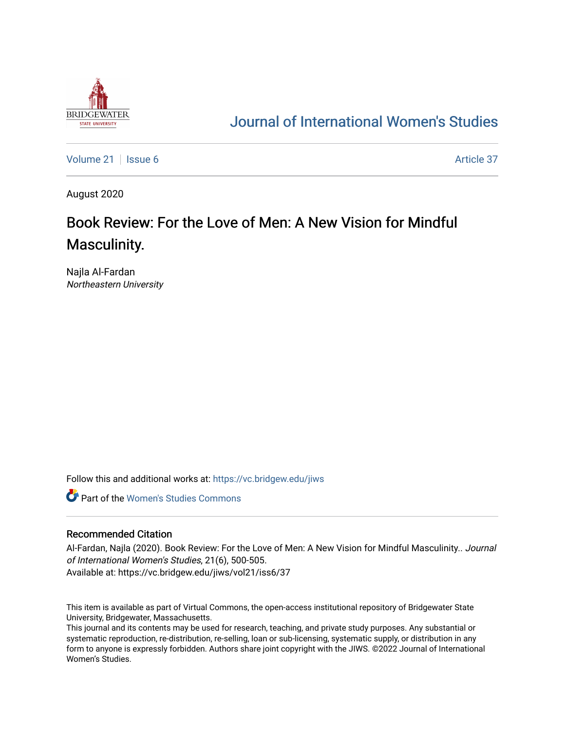

## [Journal of International Women's Studies](https://vc.bridgew.edu/jiws)

[Volume 21](https://vc.bridgew.edu/jiws/vol21) | [Issue 6](https://vc.bridgew.edu/jiws/vol21/iss6) Article 37

August 2020

# Book Review: For the Love of Men: A New Vision for Mindful Masculinity.

Najla Al-Fardan Northeastern University

Follow this and additional works at: [https://vc.bridgew.edu/jiws](https://vc.bridgew.edu/jiws?utm_source=vc.bridgew.edu%2Fjiws%2Fvol21%2Fiss6%2F37&utm_medium=PDF&utm_campaign=PDFCoverPages)

**C** Part of the Women's Studies Commons

#### Recommended Citation

Al-Fardan, Najla (2020). Book Review: For the Love of Men: A New Vision for Mindful Masculinity.. Journal of International Women's Studies, 21(6), 500-505. Available at: https://vc.bridgew.edu/jiws/vol21/iss6/37

This item is available as part of Virtual Commons, the open-access institutional repository of Bridgewater State University, Bridgewater, Massachusetts.

This journal and its contents may be used for research, teaching, and private study purposes. Any substantial or systematic reproduction, re-distribution, re-selling, loan or sub-licensing, systematic supply, or distribution in any form to anyone is expressly forbidden. Authors share joint copyright with the JIWS. ©2022 Journal of International Women's Studies.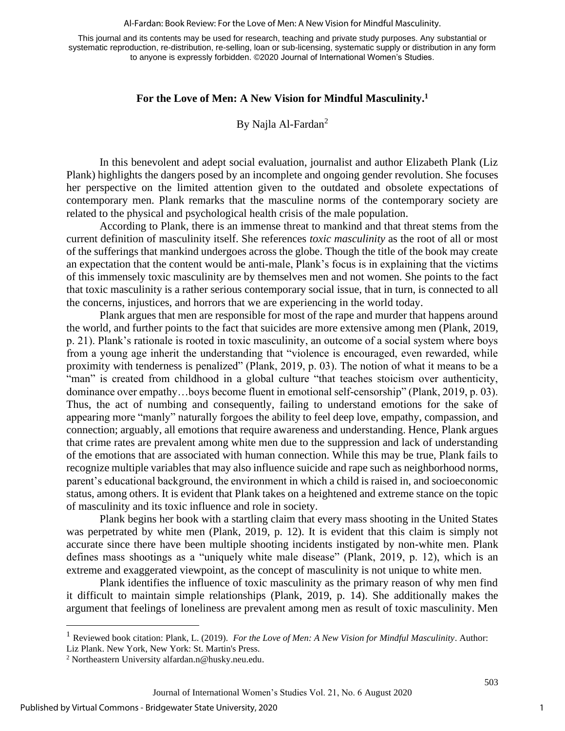#### Al-Fardan: Book Review: For the Love of Men: A New Vision for Mindful Masculinity.

This journal and its contents may be used for research, teaching and private study purposes. Any substantial or systematic reproduction, re-distribution, re-selling, loan or sub-licensing, systematic supply or distribution in any form to anyone is expressly forbidden. ©2020 Journal of International Women's Studies.

### **For the Love of Men: A New Vision for Mindful Masculinity. 1**

By Najla Al-Fardan<sup>2</sup>

In this benevolent and adept social evaluation, journalist and author Elizabeth Plank (Liz Plank) highlights the dangers posed by an incomplete and ongoing gender revolution. She focuses her perspective on the limited attention given to the outdated and obsolete expectations of contemporary men. Plank remarks that the masculine norms of the contemporary society are related to the physical and psychological health crisis of the male population.

According to Plank, there is an immense threat to mankind and that threat stems from the current definition of masculinity itself. She references *toxic masculinity* as the root of all or most of the sufferings that mankind undergoes across the globe. Though the title of the book may create an expectation that the content would be anti-male, Plank's focus is in explaining that the victims of this immensely toxic masculinity are by themselves men and not women. She points to the fact that toxic masculinity is a rather serious contemporary social issue, that in turn, is connected to all the concerns, injustices, and horrors that we are experiencing in the world today.

Plank argues that men are responsible for most of the rape and murder that happens around the world, and further points to the fact that suicides are more extensive among men (Plank, 2019, p. 21). Plank's rationale is rooted in toxic masculinity, an outcome of a social system where boys from a young age inherit the understanding that "violence is encouraged, even rewarded, while proximity with tenderness is penalized" (Plank, 2019, p. 03). The notion of what it means to be a "man" is created from childhood in a global culture "that teaches stoicism over authenticity, dominance over empathy…boys become fluent in emotional self-censorship" (Plank, 2019, p. 03). Thus, the act of numbing and consequently, failing to understand emotions for the sake of appearing more "manly" naturally forgoes the ability to feel deep love, empathy, compassion, and connection; arguably, all emotions that require awareness and understanding. Hence, Plank argues that crime rates are prevalent among white men due to the suppression and lack of understanding of the emotions that are associated with human connection. While this may be true, Plank fails to recognize multiple variables that may also influence suicide and rape such as neighborhood norms, parent's educational background, the environment in which a child is raised in, and socioeconomic status, among others. It is evident that Plank takes on a heightened and extreme stance on the topic of masculinity and its toxic influence and role in society.

Plank begins her book with a startling claim that every mass shooting in the United States was perpetrated by white men (Plank, 2019, p. 12). It is evident that this claim is simply not accurate since there have been multiple shooting incidents instigated by non-white men. Plank defines mass shootings as a "uniquely white male disease" (Plank, 2019, p. 12), which is an extreme and exaggerated viewpoint, as the concept of masculinity is not unique to white men.

Plank identifies the influence of toxic masculinity as the primary reason of why men find it difficult to maintain simple relationships (Plank, 2019, p. 14). She additionally makes the argument that feelings of loneliness are prevalent among men as result of toxic masculinity. Men

1

<sup>1</sup> Reviewed book citation: Plank, L. (2019). *For the Love of Men: A New Vision for Mindful Masculinity*. Author: Liz Plank. New York, New York: St. Martin's Press.

<sup>2</sup> Northeastern Universit[y alfardan.n@husky.neu.edu.](mailto:alfardan.n@husky.neu.edu)

Journal of International Women's Studies Vol. 21, No. 6 August 2020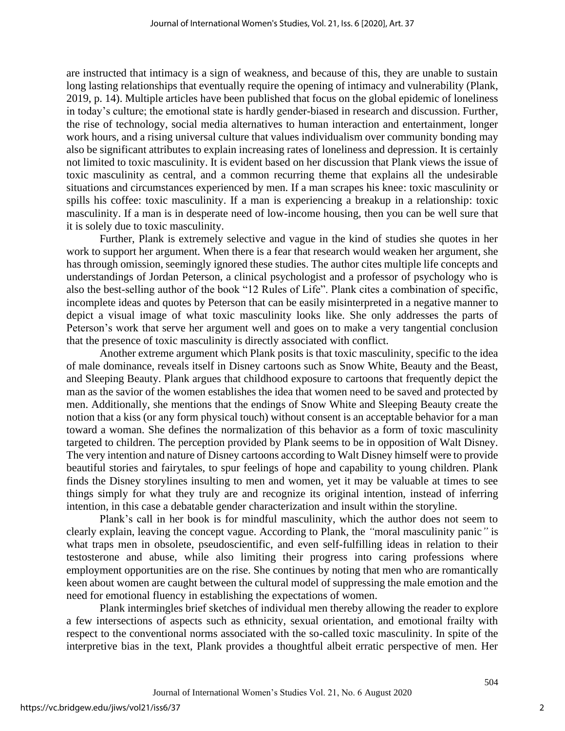are instructed that intimacy is a sign of weakness, and because of this, they are unable to sustain long lasting relationships that eventually require the opening of intimacy and vulnerability (Plank, 2019, p. 14). Multiple articles have been published that focus on the global epidemic of loneliness in today's culture; the emotional state is hardly gender-biased in research and discussion. Further, the rise of technology, social media alternatives to human interaction and entertainment, longer work hours, and a rising universal culture that values individualism over community bonding may also be significant attributes to explain increasing rates of loneliness and depression. It is certainly not limited to toxic masculinity. It is evident based on her discussion that Plank views the issue of toxic masculinity as central, and a common recurring theme that explains all the undesirable situations and circumstances experienced by men. If a man scrapes his knee: toxic masculinity or spills his coffee: toxic masculinity. If a man is experiencing a breakup in a relationship: toxic masculinity. If a man is in desperate need of low-income housing, then you can be well sure that it is solely due to toxic masculinity.

Further, Plank is extremely selective and vague in the kind of studies she quotes in her work to support her argument. When there is a fear that research would weaken her argument, she has through omission, seemingly ignored these studies. The author cites multiple life concepts and understandings of Jordan Peterson, a clinical psychologist and a professor of psychology who is also the best-selling author of the book "12 Rules of Life". Plank cites a combination of specific, incomplete ideas and quotes by Peterson that can be easily misinterpreted in a negative manner to depict a visual image of what toxic masculinity looks like. She only addresses the parts of Peterson's work that serve her argument well and goes on to make a very tangential conclusion that the presence of toxic masculinity is directly associated with conflict.

Another extreme argument which Plank posits is that toxic masculinity, specific to the idea of male dominance, reveals itself in Disney cartoons such as Snow White, Beauty and the Beast, and Sleeping Beauty. Plank argues that childhood exposure to cartoons that frequently depict the man as the savior of the women establishes the idea that women need to be saved and protected by men. Additionally, she mentions that the endings of Snow White and Sleeping Beauty create the notion that a kiss (or any form physical touch) without consent is an acceptable behavior for a man toward a woman. She defines the normalization of this behavior as a form of toxic masculinity targeted to children. The perception provided by Plank seems to be in opposition of Walt Disney. The very intention and nature of Disney cartoons according to Walt Disney himself were to provide beautiful stories and fairytales, to spur feelings of hope and capability to young children. Plank finds the Disney storylines insulting to men and women, yet it may be valuable at times to see things simply for what they truly are and recognize its original intention, instead of inferring intention, in this case a debatable gender characterization and insult within the storyline.

Plank's call in her book is for mindful masculinity, which the author does not seem to clearly explain, leaving the concept vague. According to Plank, the *"*moral masculinity panic*"* is what traps men in obsolete, pseudoscientific, and even self-fulfilling ideas in relation to their testosterone and abuse, while also limiting their progress into caring professions where employment opportunities are on the rise. She continues by noting that men who are romantically keen about women are caught between the cultural model of suppressing the male emotion and the need for emotional fluency in establishing the expectations of women.

Plank intermingles brief sketches of individual men thereby allowing the reader to explore a few intersections of aspects such as ethnicity, sexual orientation, and emotional frailty with respect to the conventional norms associated with the so-called toxic masculinity. In spite of the interpretive bias in the text, Plank provides a thoughtful albeit erratic perspective of men. Her

2